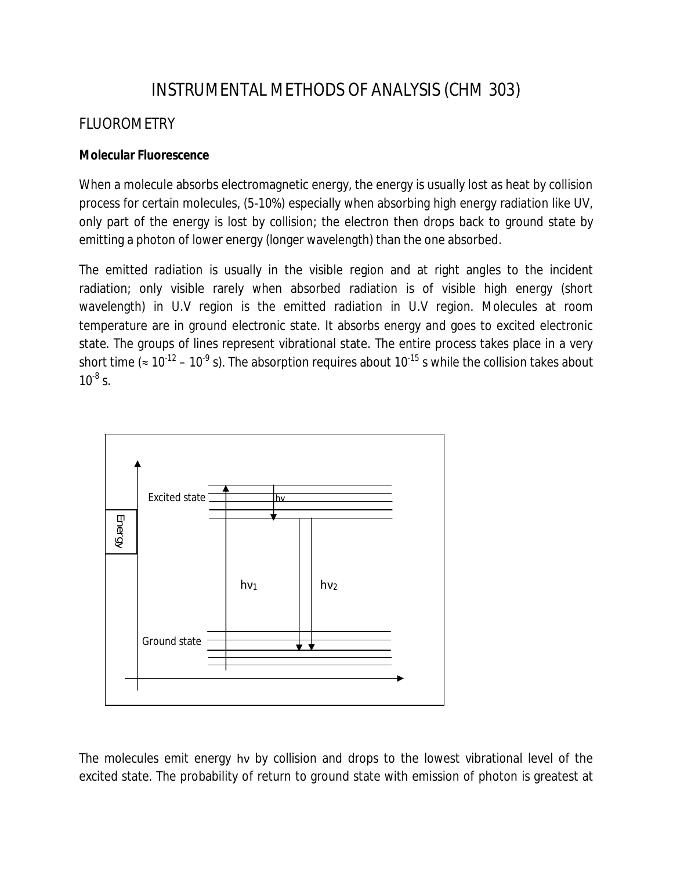# INSTRUMENTAL METHODS OF ANALYSIS (CHM 303)

# FLUOROMETRY

# **Molecular Fluorescence**

When a molecule absorbs electromagnetic energy, the energy is usually lost as heat by collision process for certain molecules, (5-10%) especially when absorbing high energy radiation like UV, only part of the energy is lost by collision; the electron then drops back to ground state by emitting a photon of lower energy (longer wavelength) than the one absorbed.

The emitted radiation is usually in the visible region and at right angles to the incident radiation; only visible rarely when absorbed radiation is of visible high energy (short wavelength) in U.V region is the emitted radiation in U.V region. Molecules at room temperature are in ground electronic state. It absorbs energy and goes to excited electronic state. The groups of lines represent vibrational state. The entire process takes place in a very short time (≈ 10<sup>-12</sup> – 10<sup>-9</sup> s). The absorption requires about 10<sup>-15</sup> s while the collision takes about  $10^{-8}$  s.



The molecules emit energy hν by collision and drops to the lowest vibrational level of the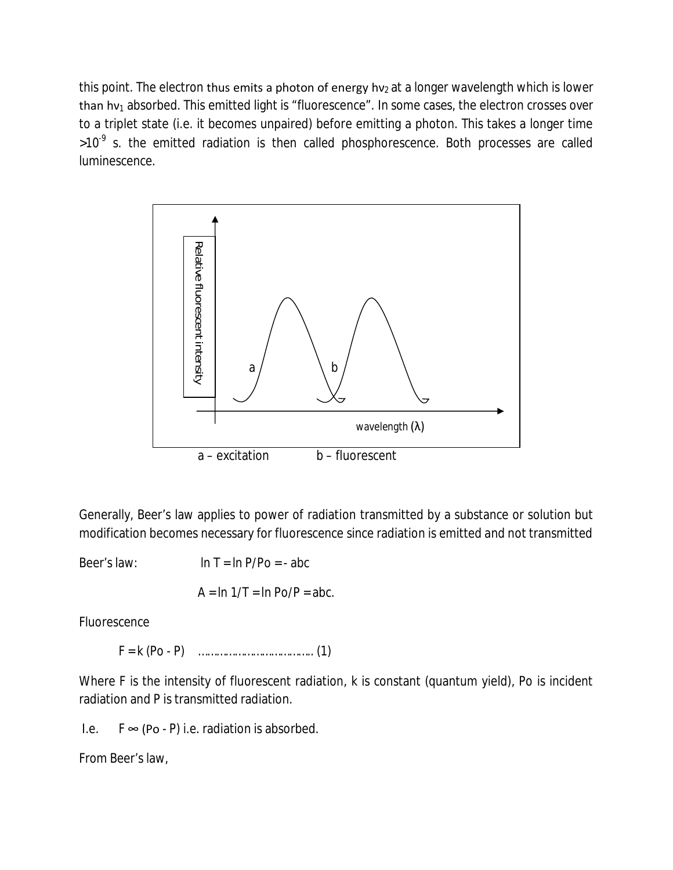this point. The electron thus emits a photon of energy hv<sub>2</sub> at a longer wavelength which is lower than hv<sub>1</sub> absorbed. This emitted light is "fluorescence". In some cases, the electron crosses over to a triplet state (i.e. it becomes unpaired) before emitting a photon. This takes a longer time >10<sup>-9</sup> s. the emitted radiation is then called phosphorescence. Both processes are called luminescence.



Generally, Beer's law applies to power of radiation transmitted by a substance or solution but modification becomes necessary for fluorescence since radiation is emitted and not transmitted

Beer's law:  $\ln T = \ln P/P_0 = -abc$ 

 $A = \ln 1/T = \ln Po/P = abc$ .

Fluorescence

F = k (Po - P) ……………………………….. (1)

Where F is the intensity of fluorescent radiation, k is constant (quantum yield), Po is incident radiation and P is transmitted radiation.

I.e.  $F \approx (Po - P)$  i.e. radiation is absorbed.

From Beer's law,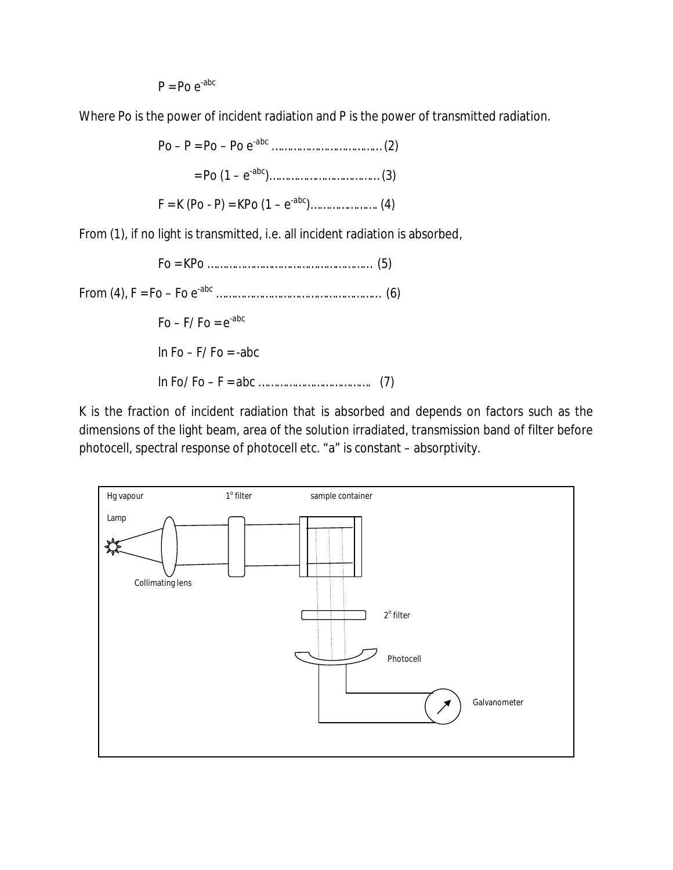$P = Po e^{-abc}$ 

Where Po is the power of incident radiation and P is the power of transmitted radiation.

Po – P = Po – Po e-abc ……………………………… (2) = Po (1 – e -abc)……………………………… (3)  $F = K (Po - P) = KPo (1 - e^{-abc}) \dots \dots \dots \dots \dots \dots (4)$ 

From (1), if no light is transmitted, i.e. all incident radiation is absorbed,

Fo = KPo ……………………………………………… (5) From (4), F = Fo – Fo e-abc ……………………………………………… (6)  $Fo - F/ Fo = e^{-abc}$ In  $Fo = F/Fo = -abc$ ln Fo/ Fo – F = abc ………………………………. (7)

K is the fraction of incident radiation that is absorbed and depends on factors such as the dimensions of the light beam, area of the solution irradiated, transmission band of filter before photocell, spectral response of photocell etc. "a" is constant – absorptivity.

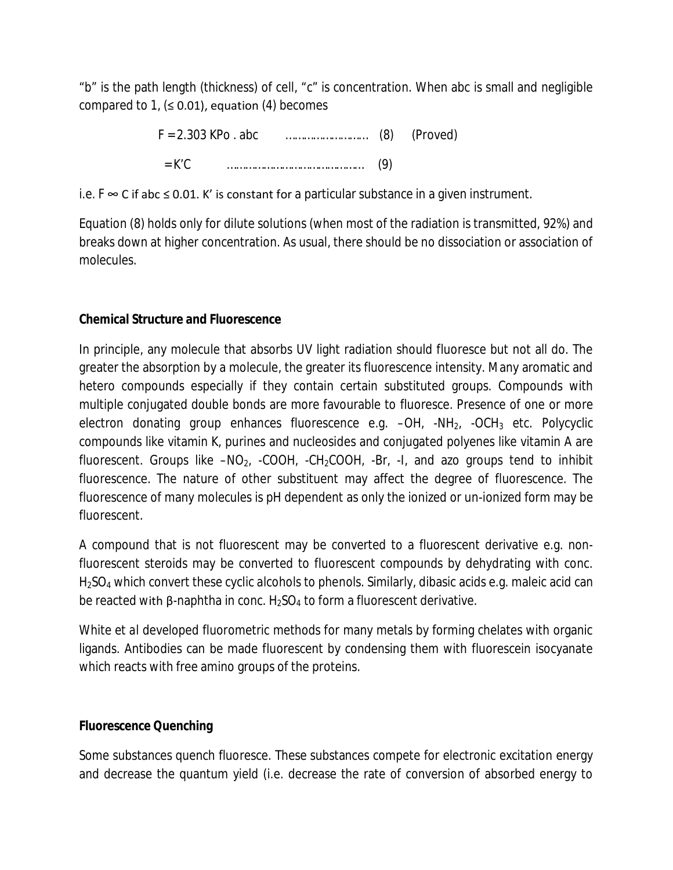"b" is the path length (thickness) of cell, "c" is concentration. When abc is small and negligible compared to 1,  $(≤ 0.01)$ , equation (4) becomes

| $F = 2.303$ KPo abc |  | $(8)$ (Proved) |
|---------------------|--|----------------|
| $=$ K'C.            |  |                |

i.e.  $F$   $\infty$  C if abc ≤ 0.01. K' is constant for a particular substance in a given instrument.

Equation (8) holds only for dilute solutions (when most of the radiation is transmitted, 92%) and breaks down at higher concentration. As usual, there should be no dissociation or association of molecules.

# **Chemical Structure and Fluorescence**

In principle, any molecule that absorbs UV light radiation should fluoresce but not all do. The greater the absorption by a molecule, the greater its fluorescence intensity. Many aromatic and hetero compounds especially if they contain certain substituted groups. Compounds with multiple conjugated double bonds are more favourable to fluoresce. Presence of one or more electron donating group enhances fluorescence e.g.  $-OH$ ,  $-NH<sub>2</sub>$ ,  $-OCH<sub>3</sub>$  etc. Polycyclic compounds like vitamin K, purines and nucleosides and conjugated polyenes like vitamin A are fluorescent. Groups like  $-NO_2$ , -COOH, -CH<sub>2</sub>COOH, -Br, -I, and azo groups tend to inhibit fluorescence. The nature of other substituent may affect the degree of fluorescence. The fluorescence of many molecules is pH dependent as only the ionized or un-ionized form may be fluorescent.

A compound that is not fluorescent may be converted to a fluorescent derivative e.g. nonfluorescent steroids may be converted to fluorescent compounds by dehydrating with conc. H<sub>2</sub>SO<sub>4</sub> which convert these cyclic alcohols to phenols. Similarly, dibasic acids e.g. maleic acid can be reacted with β-naphtha in conc.  $H_2SO_4$  to form a fluorescent derivative.

White *et al* developed fluorometric methods for many metals by forming chelates with organic ligands. Antibodies can be made fluorescent by condensing them with fluorescein isocyanate which reacts with free amino groups of the proteins.

# **Fluorescence Quenching**

Some substances quench fluoresce. These substances compete for electronic excitation energy and decrease the quantum yield (i.e. decrease the rate of conversion of absorbed energy to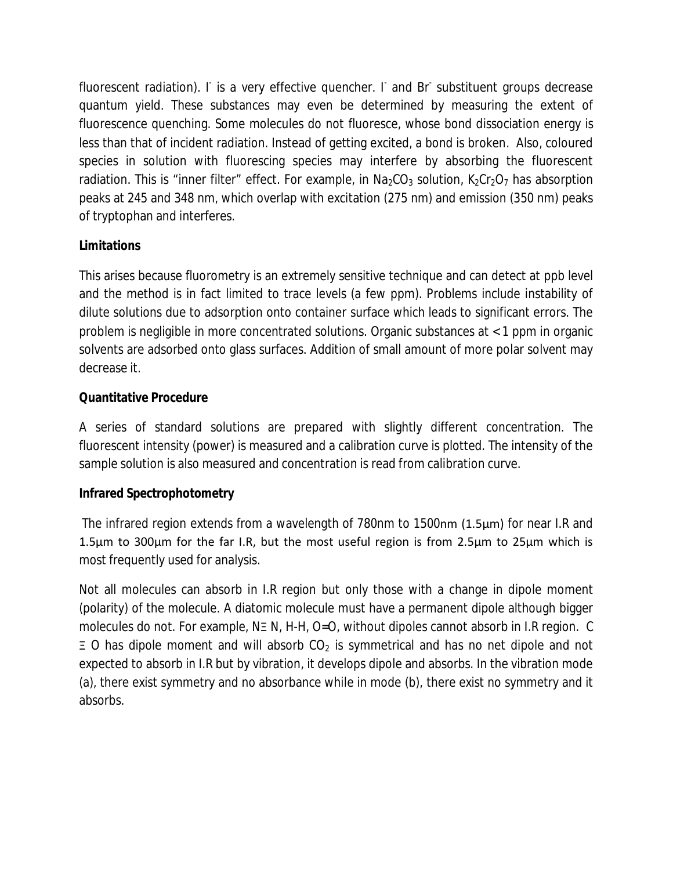fluorescent radiation). I is a very effective quencher. I and Br substituent groups decrease quantum yield. These substances may even be determined by measuring the extent of fluorescence quenching. Some molecules do not fluoresce, whose bond dissociation energy is less than that of incident radiation. Instead of getting excited, a bond is broken. Also, coloured species in solution with fluorescing species may interfere by absorbing the fluorescent radiation. This is "inner filter" effect. For example, in  $Na_2CO_3$  solution,  $K_2Cr_2O_7$  has absorption peaks at 245 and 348 nm, which overlap with excitation (275 nm) and emission (350 nm) peaks of tryptophan and interferes.

# **Limitations**

This arises because fluorometry is an extremely sensitive technique and can detect at ppb level and the method is in fact limited to trace levels (a few ppm). Problems include instability of dilute solutions due to adsorption onto container surface which leads to significant errors. The problem is negligible in more concentrated solutions. Organic substances at < 1 ppm in organic solvents are adsorbed onto glass surfaces. Addition of small amount of more polar solvent may decrease it.

# **Quantitative Procedure**

A series of standard solutions are prepared with slightly different concentration. The fluorescent intensity (power) is measured and a calibration curve is plotted. The intensity of the sample solution is also measured and concentration is read from calibration curve.

# **Infrared Spectrophotometry**

The infrared region extends from a wavelength of 780nm to 1500nm (1.5µm) for near I.R and 1.5µm to 300µm for the far I.R, but the most useful region is from 2.5µm to 25µm which is most frequently used for analysis.

Not all molecules can absorb in I.R region but only those with a change in dipole moment (polarity) of the molecule. A diatomic molecule must have a permanent dipole although bigger molecules do not. For example, NΞ N, H-H, O=O, without dipoles cannot absorb in I.R region. C  $\equiv$  O has dipole moment and will absorb CO<sub>2</sub> is symmetrical and has no net dipole and not expected to absorb in I.R but by vibration, it develops dipole and absorbs. In the vibration mode (a), there exist symmetry and no absorbance while in mode (b), there exist no symmetry and it absorbs.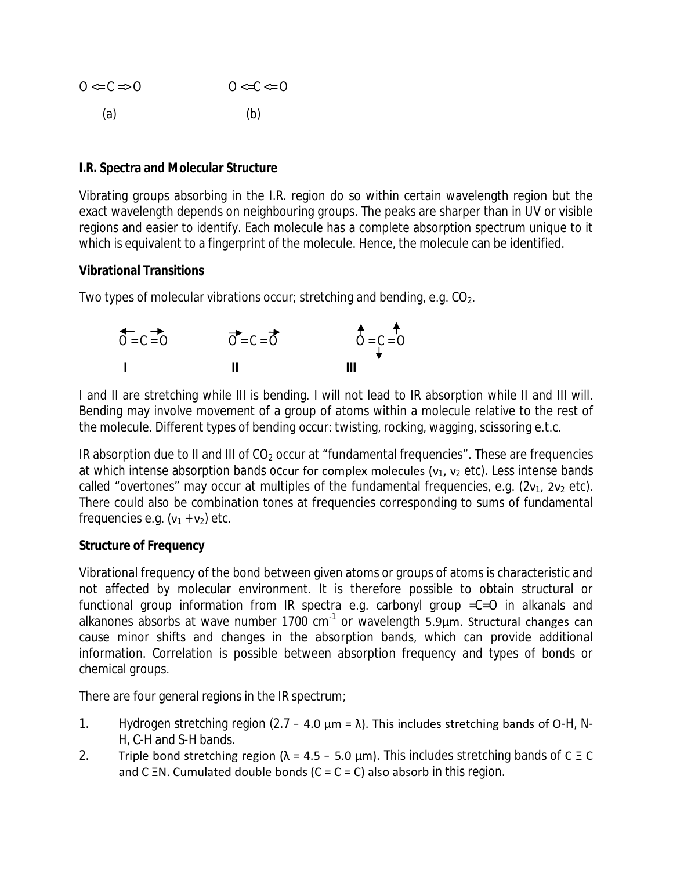| $0 \le C \le 0$ | $0 \leq C \leq 0$ |
|-----------------|-------------------|
| (a)             | (b)               |

### **I.R. Spectra and Molecular Structure**

Vibrating groups absorbing in the I.R. region do so within certain wavelength region but the exact wavelength depends on neighbouring groups. The peaks are sharper than in UV or visible regions and easier to identify. Each molecule has a complete absorption spectrum unique to it which is equivalent to a fingerprint of the molecule. Hence, the molecule can be identified.

# **Vibrational Transitions**

Two types of molecular vibrations occur; stretching and bending, e.g.  $CO<sub>2</sub>$ .

| $0 = C = 0$ | $\overrightarrow{O}$ = $\overrightarrow{C}$ = $\overrightarrow{O}$ | $\uparrow$ = C = O |
|-------------|--------------------------------------------------------------------|--------------------|
|             | - 11                                                               |                    |

I and II are stretching while III is bending. I will not lead to IR absorption while II and III will. Bending may involve movement of a group of atoms within a molecule relative to the rest of the molecule. Different types of bending occur: twisting, rocking, wagging, scissoring e.t.c.

IR absorption due to II and III of  $CO<sub>2</sub>$  occur at "fundamental frequencies". These are frequencies at which intense absorption bands occur for complex molecules ( $v_1$ ,  $v_2$  etc). Less intense bands called "overtones" may occur at multiples of the fundamental frequencies, e.g.  $(2v_1, 2v_2 \text{ etc}).$ There could also be combination tones at frequencies corresponding to sums of fundamental frequencies e.g.  $(v_1 + v_2)$  etc.

### **Structure of Frequency**

Vibrational frequency of the bond between given atoms or groups of atoms is characteristic and not affected by molecular environment. It is therefore possible to obtain structural or functional group information from IR spectra e.g. carbonyl group =C=O in alkanals and alkanones absorbs at wave number 1700  $cm^{-1}$  or wavelength 5.9µm. Structural changes can cause minor shifts and changes in the absorption bands, which can provide additional information. Correlation is possible between absorption frequency and types of bonds or chemical groups.

There are four general regions in the IR spectrum;

- 1. Hydrogen stretching region  $(2.7 4.0 \mu m = \lambda)$ . This includes stretching bands of O-H, N-H, C-H and S-H bands.
- 2. Triple bond stretching region ( $\lambda = 4.5 5.0 \,\mu$ m). This includes stretching bands of C = C and C  $\Xi$ N. Cumulated double bonds (C = C = C) also absorb in this region.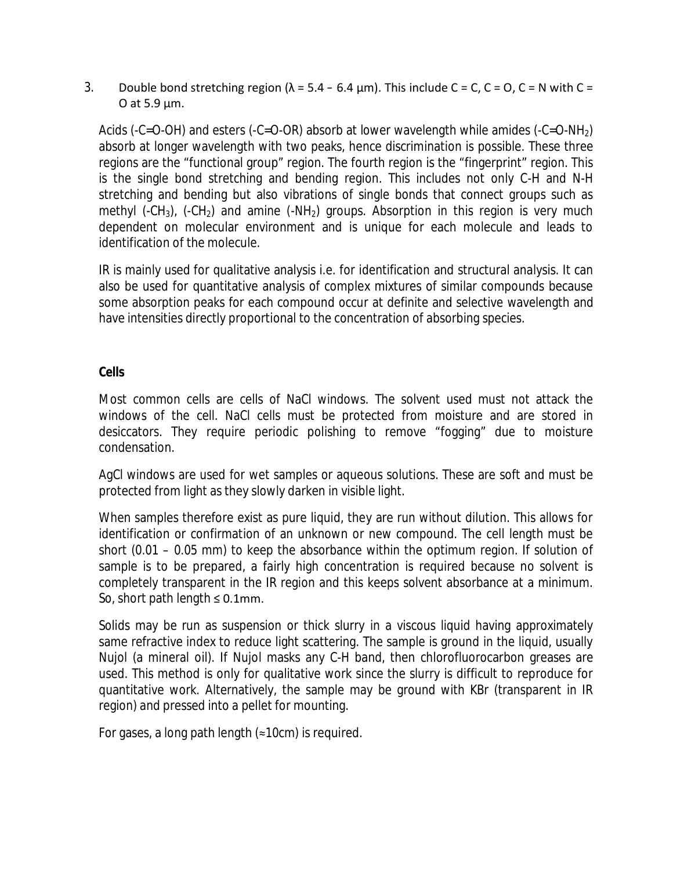3. Double bond stretching region  $(\lambda = 5.4 - 6.4 \text{ µm})$ . This include C = C, C = O, C = N with C = O at 5.9  $\mu$ m.

Acids (-C=O-OH) and esters (-C=O-OR) absorb at lower wavelength while amides (-C=O-NH2) absorb at longer wavelength with two peaks, hence discrimination is possible. These three regions are the "functional group" region. The fourth region is the "fingerprint" region. This is the single bond stretching and bending region. This includes not only C-H and N-H stretching and bending but also vibrations of single bonds that connect groups such as methyl (-CH<sub>3</sub>), (-CH<sub>2</sub>) and amine (-NH<sub>2</sub>) groups. Absorption in this region is very much dependent on molecular environment and is unique for each molecule and leads to identification of the molecule.

IR is mainly used for qualitative analysis i.e. for identification and structural analysis. It can also be used for quantitative analysis of complex mixtures of similar compounds because some absorption peaks for each compound occur at definite and selective wavelength and have intensities directly proportional to the concentration of absorbing species.

# **Cells**

Most common cells are cells of NaCl windows. The solvent used must not attack the windows of the cell. NaCl cells must be protected from moisture and are stored in desiccators. They require periodic polishing to remove "fogging" due to moisture condensation.

AgCl windows are used for wet samples or aqueous solutions. These are soft and must be protected from light as they slowly darken in visible light.

When samples therefore exist as pure liquid, they are run without dilution. This allows for identification or confirmation of an unknown or new compound. The cell length must be short (0.01 – 0.05 mm) to keep the absorbance within the optimum region. If solution of sample is to be prepared, a fairly high concentration is required because no solvent is completely transparent in the IR region and this keeps solvent absorbance at a minimum. So, short path length  $\leq 0.1$ mm.

Solids may be run as suspension or thick slurry in a viscous liquid having approximately same refractive index to reduce light scattering. The sample is ground in the liquid, usually Nujol (a mineral oil). If Nujol masks any C-H band, then chlorofluorocarbon greases are used. This method is only for qualitative work since the slurry is difficult to reproduce for quantitative work. Alternatively, the sample may be ground with KBr (transparent in IR region) and pressed into a pellet for mounting.

For gases, a long path length  $($   $\approx$  10cm) is required.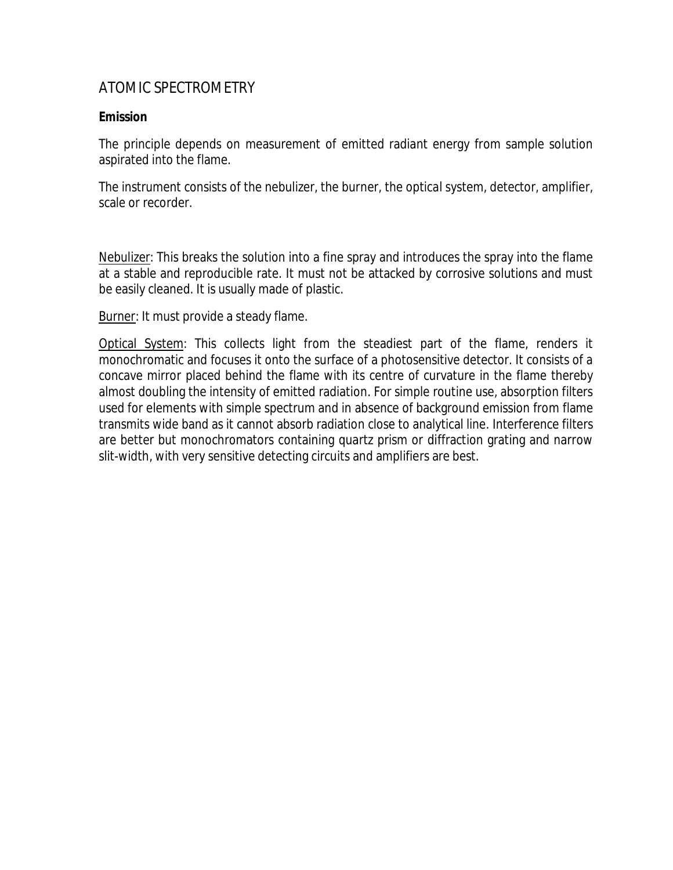# ATOMIC SPECTROMETRY

# **Emission**

The principle depends on measurement of emitted radiant energy from sample solution aspirated into the flame.

The instrument consists of the nebulizer, the burner, the optical system, detector, amplifier, scale or recorder.

Nebulizer: This breaks the solution into a fine spray and introduces the spray into the flame at a stable and reproducible rate. It must not be attacked by corrosive solutions and must be easily cleaned. It is usually made of plastic.

Burner: It must provide a steady flame.

Optical System: This collects light from the steadiest part of the flame, renders it monochromatic and focuses it onto the surface of a photosensitive detector. It consists of a concave mirror placed behind the flame with its centre of curvature in the flame thereby almost doubling the intensity of emitted radiation. For simple routine use, absorption filters used for elements with simple spectrum and in absence of background emission from flame transmits wide band as it cannot absorb radiation close to analytical line. Interference filters are better but monochromators containing quartz prism or diffraction grating and narrow slit-width, with very sensitive detecting circuits and amplifiers are best.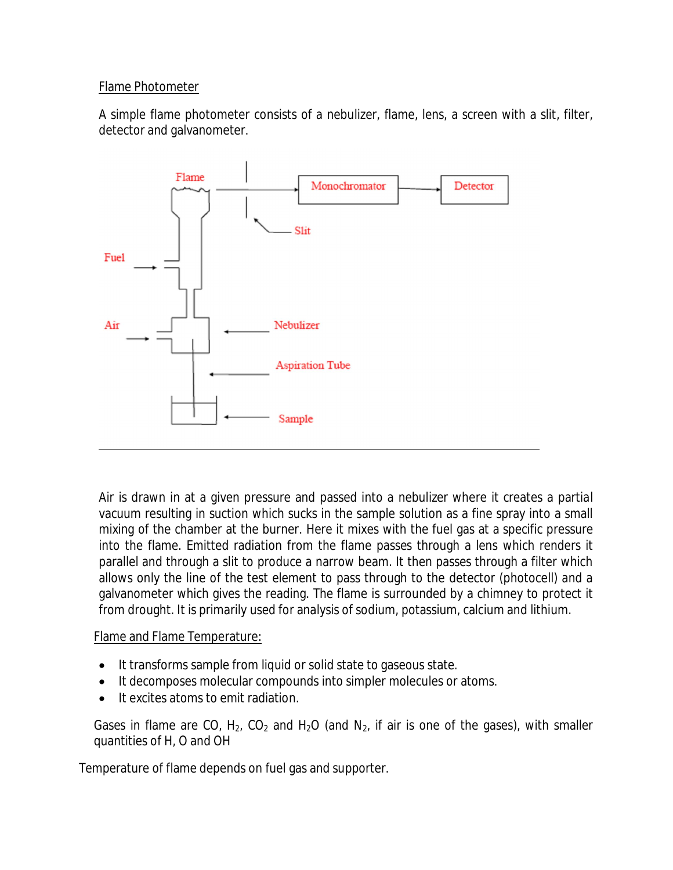# Flame Photometer

A simple flame photometer consists of a nebulizer, flame, lens, a screen with a slit, filter, detector and galvanometer.



Air is drawn in at a given pressure and passed into a nebulizer where it creates a partial vacuum resulting in suction which sucks in the sample solution as a fine spray into a small mixing of the chamber at the burner. Here it mixes with the fuel gas at a specific pressure into the flame. Emitted radiation from the flame passes through a lens which renders it parallel and through a slit to produce a narrow beam. It then passes through a filter which allows only the line of the test element to pass through to the detector (photocell) and a galvanometer which gives the reading. The flame is surrounded by a chimney to protect it from drought. It is primarily used for analysis of sodium, potassium, calcium and lithium.

Flame and Flame Temperature:

- It transforms sample from liquid or solid state to gaseous state.
- It decomposes molecular compounds into simpler molecules or atoms.
- It excites atoms to emit radiation.

Gases in flame are CO,  $H_2$ , CO<sub>2</sub> and H<sub>2</sub>O (and N<sub>2</sub>, if air is one of the gases), with smaller quantities of H, O and OH

Temperature of flame depends on fuel gas and supporter.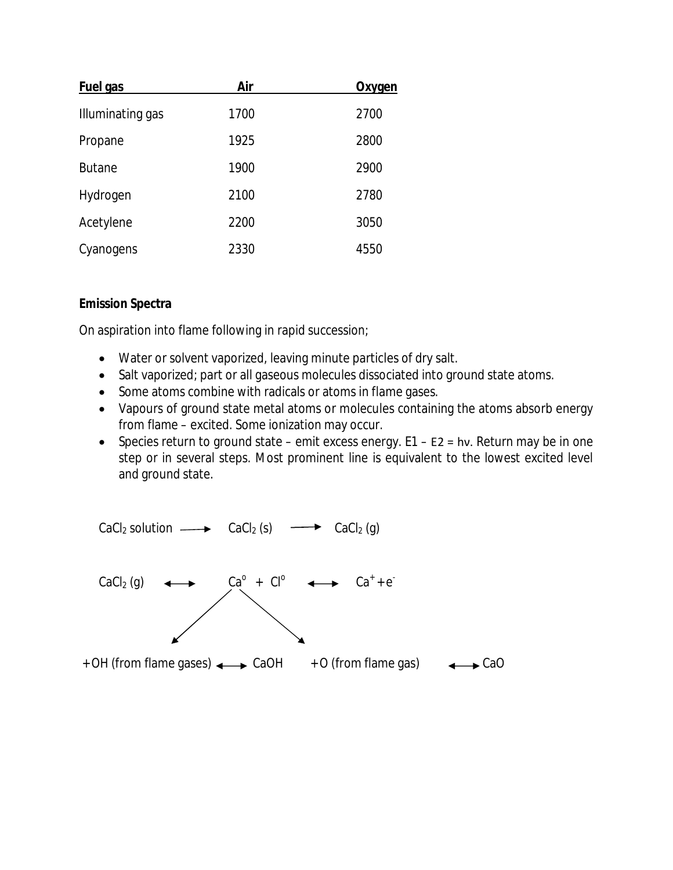| <b>Fuel gas</b>  | Air  | <u>Oxygen</u> |
|------------------|------|---------------|
| Illuminating gas | 1700 | 2700          |
| Propane          | 1925 | 2800          |
| <b>Butane</b>    | 1900 | 2900          |
| Hydrogen         | 2100 | 2780          |
| Acetylene        | 2200 | 3050          |
| Cyanogens        | 2330 | 4550          |

# **Emission Spectra**

On aspiration into flame following in rapid succession;

- Water or solvent vaporized, leaving minute particles of dry salt.
- Salt vaporized; part or all gaseous molecules dissociated into ground state atoms.
- Some atoms combine with radicals or atoms in flame gases.
- Vapours of ground state metal atoms or molecules containing the atoms absorb energy from flame – excited. Some ionization may occur.
- Species return to ground state emit excess energy. E1 E2 = hν. Return may be in one step or in several steps. Most prominent line is equivalent to the lowest excited level and ground state.

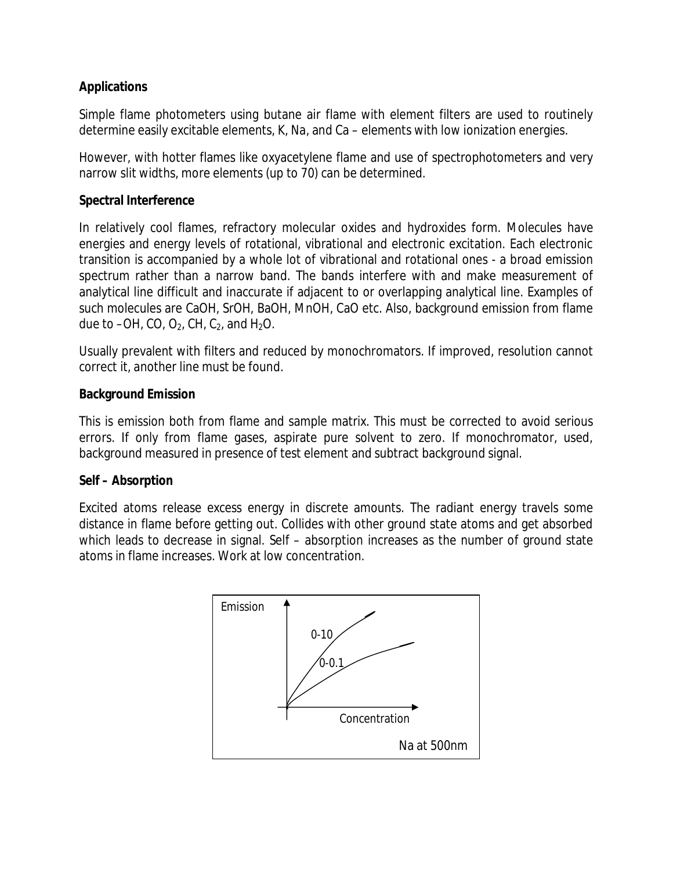# **Applications**

Simple flame photometers using butane air flame with element filters are used to routinely determine easily excitable elements, K, Na, and Ca – elements with low ionization energies.

However, with hotter flames like oxyacetylene flame and use of spectrophotometers and very narrow slit widths, more elements (up to 70) can be determined.

# **Spectral Interference**

In relatively cool flames, refractory molecular oxides and hydroxides form. Molecules have energies and energy levels of rotational, vibrational and electronic excitation. Each electronic transition is accompanied by a whole lot of vibrational and rotational ones - a broad emission spectrum rather than a narrow band. The bands interfere with and make measurement of analytical line difficult and inaccurate if adjacent to or overlapping analytical line. Examples of such molecules are CaOH, SrOH, BaOH, MnOH, CaO etc. Also, background emission from flame due to  $-OH$ , CO, O<sub>2</sub>, CH, C<sub>2</sub>, and H<sub>2</sub>O.

Usually prevalent with filters and reduced by monochromators. If improved, resolution cannot correct it, another line must be found.

# **Background Emission**

This is emission both from flame and sample matrix. This must be corrected to avoid serious errors. If only from flame gases, aspirate pure solvent to zero. If monochromator, used, background measured in presence of test element and subtract background signal.

### **Self – Absorption**

Excited atoms release excess energy in discrete amounts. The radiant energy travels some distance in flame before getting out. Collides with other ground state atoms and get absorbed which leads to decrease in signal. Self – absorption increases as the number of ground state atoms in flame increases. Work at low concentration.

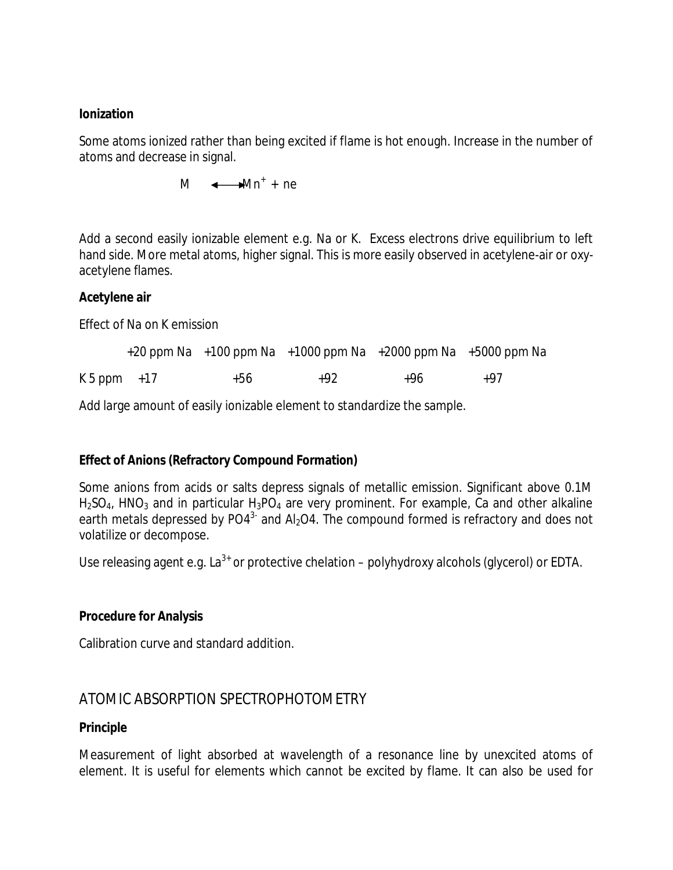#### **Ionization**

Some atoms ionized rather than being excited if flame is hot enough. Increase in the number of atoms and decrease in signal.

 $M \leftarrow Mn^+ + ne$ 

Add a second easily ionizable element e.g. Na or K. Excess electrons drive equilibrium to left hand side. More metal atoms, higher signal. This is more easily observed in acetylene-air or oxyacetylene flames.

#### **Acetylene air**

Effect of Na on K emission

|                |       | $+20$ ppm Na $+100$ ppm Na $+1000$ ppm Na $+2000$ ppm Na $+5000$ ppm Na |     |       |
|----------------|-------|-------------------------------------------------------------------------|-----|-------|
| $K5$ ppm $+17$ | $+56$ | +92                                                                     | +96 | $+97$ |

Add large amount of easily ionizable element to standardize the sample.

### **Effect of Anions (Refractory Compound Formation)**

Some anions from acids or salts depress signals of metallic emission. Significant above 0.1M  $H<sub>2</sub>SO<sub>4</sub>$ , HNO<sub>3</sub> and in particular  $H<sub>3</sub>PO<sub>4</sub>$  are very prominent. For example, Ca and other alkaline earth metals depressed by PO4<sup>3-</sup> and Al<sub>2</sub>O4. The compound formed is refractory and does not volatilize or decompose.

Use releasing agent e.g.  $La^{3+}$  or protective chelation – polyhydroxy alcohols (glycerol) or EDTA.

### **Procedure for Analysis**

Calibration curve and standard addition.

# ATOMIC ABSORPTION SPECTROPHOTOMETRY

### **Principle**

Measurement of light absorbed at wavelength of a resonance line by unexcited atoms of element. It is useful for elements which cannot be excited by flame. It can also be used for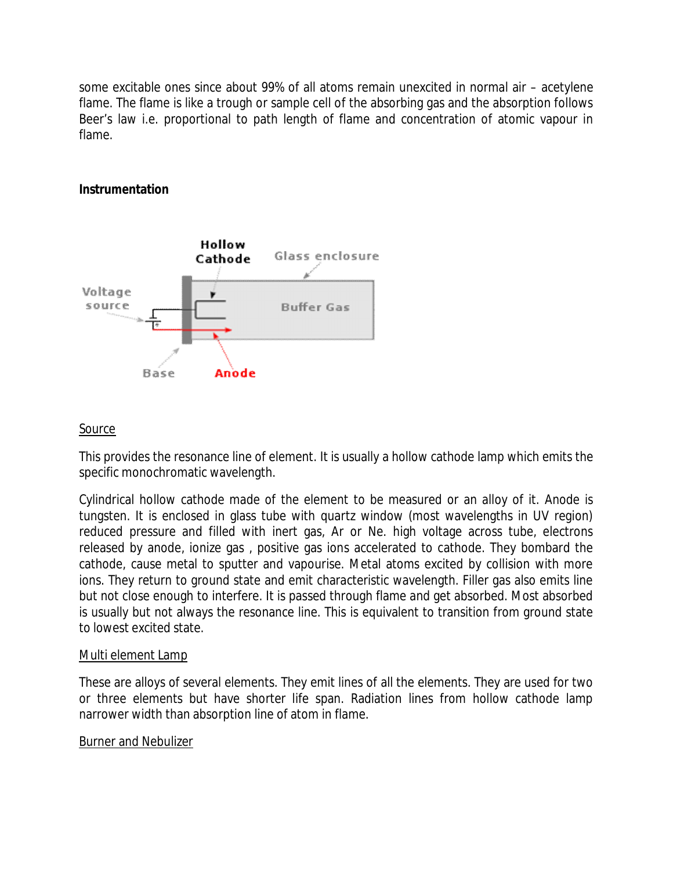some excitable ones since about 99% of all atoms remain unexcited in normal air – acetylene flame. The flame is like a trough or sample cell of the absorbing gas and the absorption follows Beer's law i.e. proportional to path length of flame and concentration of atomic vapour in flame.

# **Instrumentation**



# Source

This provides the resonance line of element. It is usually a hollow cathode lamp which emits the specific monochromatic wavelength.

Cylindrical hollow cathode made of the element to be measured or an alloy of it. Anode is tungsten. It is enclosed in glass tube with quartz window (most wavelengths in UV region) reduced pressure and filled with inert gas, Ar or Ne. high voltage across tube, electrons released by anode, ionize gas , positive gas ions accelerated to cathode. They bombard the cathode, cause metal to sputter and vapourise. Metal atoms excited by collision with more ions. They return to ground state and emit characteristic wavelength. Filler gas also emits line but not close enough to interfere. It is passed through flame and get absorbed. Most absorbed is usually but not always the resonance line. This is equivalent to transition from ground state to lowest excited state.

### Multi element Lamp

These are alloys of several elements. They emit lines of all the elements. They are used for two or three elements but have shorter life span. Radiation lines from hollow cathode lamp narrower width than absorption line of atom in flame.

### Burner and Nebulizer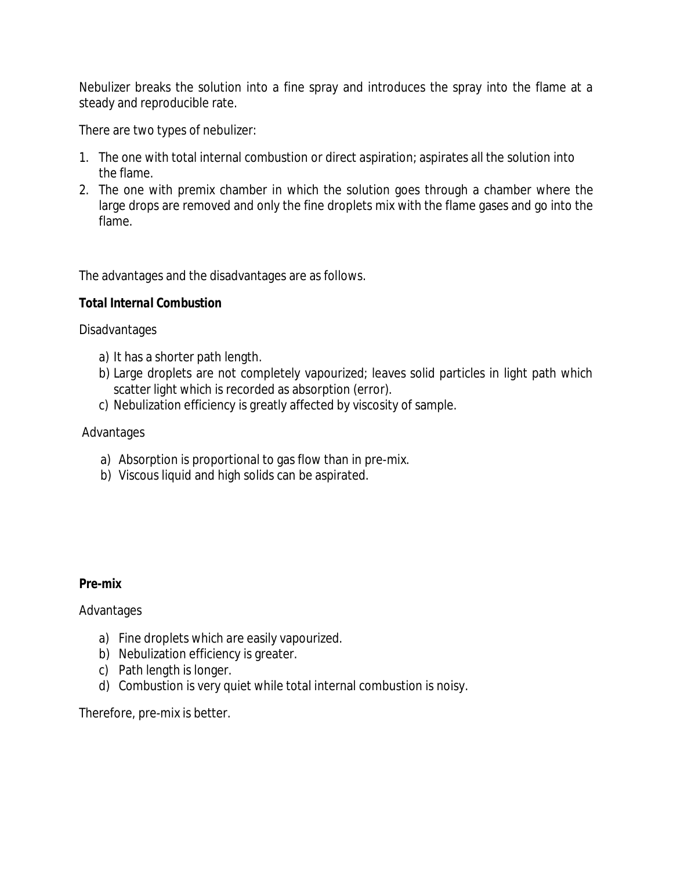Nebulizer breaks the solution into a fine spray and introduces the spray into the flame at a steady and reproducible rate.

There are two types of nebulizer:

- 1. The one with total internal combustion or direct aspiration; aspirates all the solution into the flame.
- 2. The one with premix chamber in which the solution goes through a chamber where the large drops are removed and only the fine droplets mix with the flame gases and go into the flame.

The advantages and the disadvantages are as follows.

# *Total Internal Combustion*

Disadvantages

- a) It has a shorter path length.
- b) Large droplets are not completely vapourized; leaves solid particles in light path which scatter light which is recorded as absorption (error).
- c) Nebulization efficiency is greatly affected by viscosity of sample.

# Advantages

- a) Absorption is proportional to gas flow than in pre-mix.
- b) Viscous liquid and high solids can be aspirated.

### *Pre-mix*

Advantages

- a) Fine droplets which are easily vapourized.
- b) Nebulization efficiency is greater.
- c) Path length is longer.
- d) Combustion is very quiet while total internal combustion is noisy.

Therefore, pre-mix is better.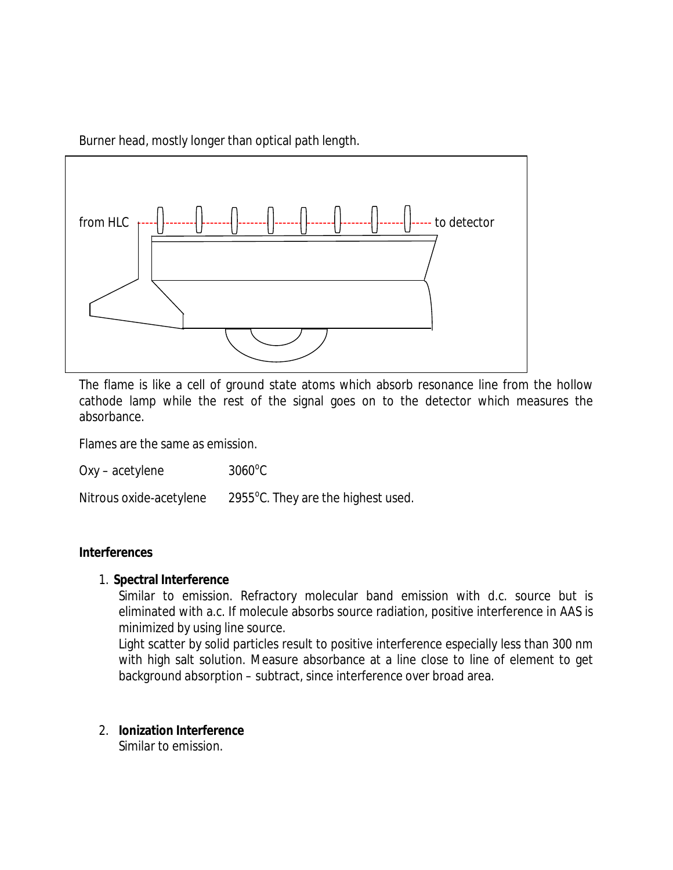Burner head, mostly longer than optical path length.



The flame is like a cell of ground state atoms which absorb resonance line from the hollow cathode lamp while the rest of the signal goes on to the detector which measures the absorbance.

Flames are the same as emission.

 $Oxy - acetylene$  $3060^{\circ}$ C

Nitrous oxide-acetylene 2955°C. They are the highest used.

#### **Interferences**

#### 1. **Spectral Interference**

Similar to emission. Refractory molecular band emission with d.c. source but is eliminated with a.c. If molecule absorbs source radiation, positive interference in AAS is minimized by using line source.

Light scatter by solid particles result to positive interference especially less than 300 nm with high salt solution. Measure absorbance at a line close to line of element to get background absorption – subtract, since interference over broad area.

### 2. **Ionization Interference**

Similar to emission.